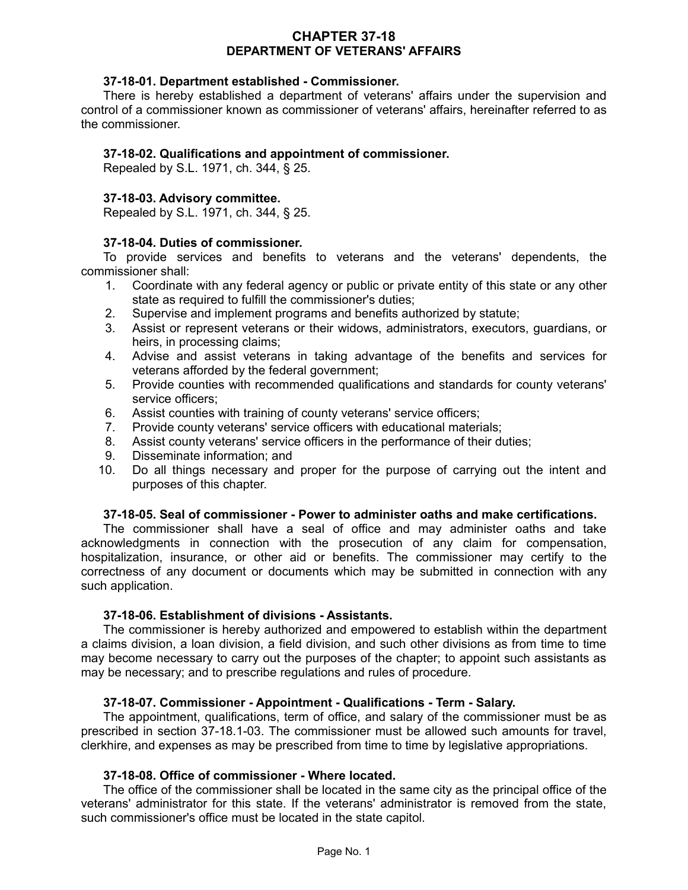## **CHAPTER 37-18 DEPARTMENT OF VETERANS' AFFAIRS**

## **37-18-01. Department established - Commissioner.**

There is hereby established a department of veterans' affairs under the supervision and control of a commissioner known as commissioner of veterans' affairs, hereinafter referred to as the commissioner.

## **37-18-02. Qualifications and appointment of commissioner.**

Repealed by S.L. 1971, ch. 344, § 25.

## **37-18-03. Advisory committee.**

Repealed by S.L. 1971, ch. 344, § 25.

## **37-18-04. Duties of commissioner.**

To provide services and benefits to veterans and the veterans' dependents, the commissioner shall:

- 1. Coordinate with any federal agency or public or private entity of this state or any other state as required to fulfill the commissioner's duties;
- 2. Supervise and implement programs and benefits authorized by statute;
- 3. Assist or represent veterans or their widows, administrators, executors, guardians, or heirs, in processing claims;
- 4. Advise and assist veterans in taking advantage of the benefits and services for veterans afforded by the federal government;
- 5. Provide counties with recommended qualifications and standards for county veterans' service officers;
- 6. Assist counties with training of county veterans' service officers;
- 7. Provide county veterans' service officers with educational materials;
- 8. Assist county veterans' service officers in the performance of their duties;
- 9. Disseminate information; and
- 10. Do all things necessary and proper for the purpose of carrying out the intent and purposes of this chapter.

#### **37-18-05. Seal of commissioner - Power to administer oaths and make certifications.**

The commissioner shall have a seal of office and may administer oaths and take acknowledgments in connection with the prosecution of any claim for compensation, hospitalization, insurance, or other aid or benefits. The commissioner may certify to the correctness of any document or documents which may be submitted in connection with any such application.

#### **37-18-06. Establishment of divisions - Assistants.**

The commissioner is hereby authorized and empowered to establish within the department a claims division, a loan division, a field division, and such other divisions as from time to time may become necessary to carry out the purposes of the chapter; to appoint such assistants as may be necessary; and to prescribe regulations and rules of procedure.

#### **37-18-07. Commissioner - Appointment - Qualifications - Term - Salary.**

The appointment, qualifications, term of office, and salary of the commissioner must be as prescribed in section 37-18.1-03. The commissioner must be allowed such amounts for travel, clerkhire, and expenses as may be prescribed from time to time by legislative appropriations.

#### **37-18-08. Office of commissioner - Where located.**

The office of the commissioner shall be located in the same city as the principal office of the veterans' administrator for this state. If the veterans' administrator is removed from the state, such commissioner's office must be located in the state capitol.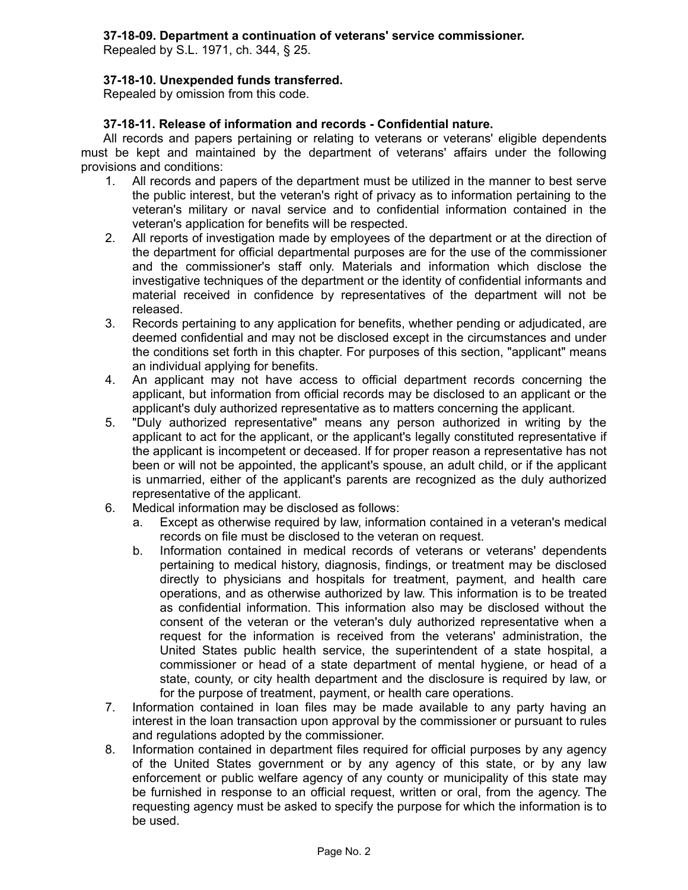# **37-18-09. Department a continuation of veterans' service commissioner.**

Repealed by S.L. 1971, ch. 344, § 25.

## **37-18-10. Unexpended funds transferred.**

Repealed by omission from this code.

## **37-18-11. Release of information and records - Confidential nature.**

All records and papers pertaining or relating to veterans or veterans' eligible dependents must be kept and maintained by the department of veterans' affairs under the following provisions and conditions:

- 1. All records and papers of the department must be utilized in the manner to best serve the public interest, but the veteran's right of privacy as to information pertaining to the veteran's military or naval service and to confidential information contained in the veteran's application for benefits will be respected.
- 2. All reports of investigation made by employees of the department or at the direction of the department for official departmental purposes are for the use of the commissioner and the commissioner's staff only. Materials and information which disclose the investigative techniques of the department or the identity of confidential informants and material received in confidence by representatives of the department will not be released.
- 3. Records pertaining to any application for benefits, whether pending or adjudicated, are deemed confidential and may not be disclosed except in the circumstances and under the conditions set forth in this chapter. For purposes of this section, "applicant" means an individual applying for benefits.
- 4. An applicant may not have access to official department records concerning the applicant, but information from official records may be disclosed to an applicant or the applicant's duly authorized representative as to matters concerning the applicant.
- 5. "Duly authorized representative" means any person authorized in writing by the applicant to act for the applicant, or the applicant's legally constituted representative if the applicant is incompetent or deceased. If for proper reason a representative has not been or will not be appointed, the applicant's spouse, an adult child, or if the applicant is unmarried, either of the applicant's parents are recognized as the duly authorized representative of the applicant.
- 6. Medical information may be disclosed as follows:
	- a. Except as otherwise required by law, information contained in a veteran's medical records on file must be disclosed to the veteran on request.
	- b. Information contained in medical records of veterans or veterans' dependents pertaining to medical history, diagnosis, findings, or treatment may be disclosed directly to physicians and hospitals for treatment, payment, and health care operations, and as otherwise authorized by law. This information is to be treated as confidential information. This information also may be disclosed without the consent of the veteran or the veteran's duly authorized representative when a request for the information is received from the veterans' administration, the United States public health service, the superintendent of a state hospital, a commissioner or head of a state department of mental hygiene, or head of a state, county, or city health department and the disclosure is required by law, or for the purpose of treatment, payment, or health care operations.
- 7. Information contained in loan files may be made available to any party having an interest in the loan transaction upon approval by the commissioner or pursuant to rules and regulations adopted by the commissioner.
- 8. Information contained in department files required for official purposes by any agency of the United States government or by any agency of this state, or by any law enforcement or public welfare agency of any county or municipality of this state may be furnished in response to an official request, written or oral, from the agency. The requesting agency must be asked to specify the purpose for which the information is to be used.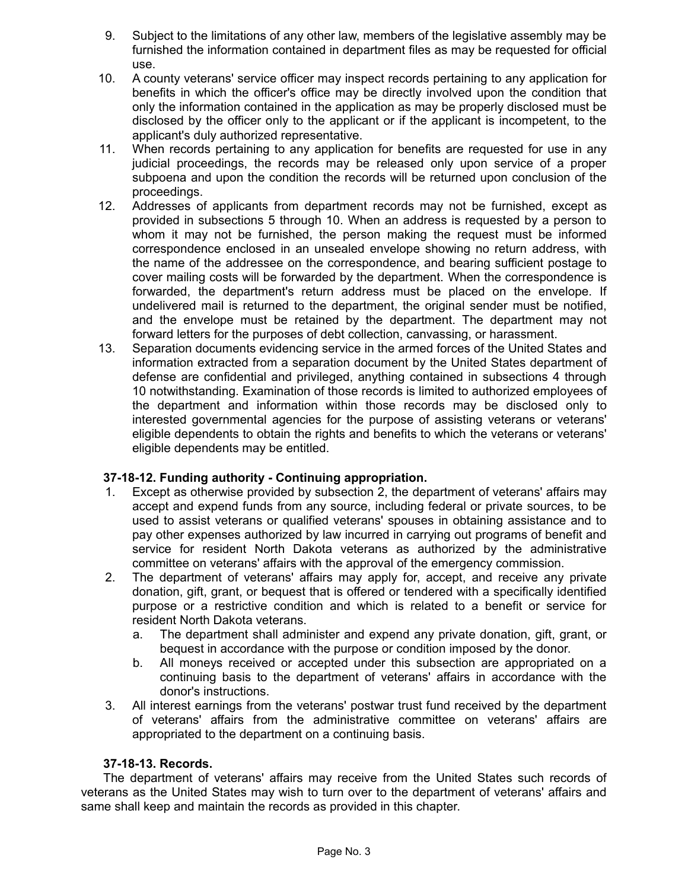- 9. Subject to the limitations of any other law, members of the legislative assembly may be furnished the information contained in department files as may be requested for official use.
- 10. A county veterans' service officer may inspect records pertaining to any application for benefits in which the officer's office may be directly involved upon the condition that only the information contained in the application as may be properly disclosed must be disclosed by the officer only to the applicant or if the applicant is incompetent, to the applicant's duly authorized representative.
- 11. When records pertaining to any application for benefits are requested for use in any judicial proceedings, the records may be released only upon service of a proper subpoena and upon the condition the records will be returned upon conclusion of the proceedings.
- 12. Addresses of applicants from department records may not be furnished, except as provided in subsections 5 through 10. When an address is requested by a person to whom it may not be furnished, the person making the request must be informed correspondence enclosed in an unsealed envelope showing no return address, with the name of the addressee on the correspondence, and bearing sufficient postage to cover mailing costs will be forwarded by the department. When the correspondence is forwarded, the department's return address must be placed on the envelope. If undelivered mail is returned to the department, the original sender must be notified, and the envelope must be retained by the department. The department may not forward letters for the purposes of debt collection, canvassing, or harassment.
- 13. Separation documents evidencing service in the armed forces of the United States and information extracted from a separation document by the United States department of defense are confidential and privileged, anything contained in subsections 4 through 10 notwithstanding. Examination of those records is limited to authorized employees of the department and information within those records may be disclosed only to interested governmental agencies for the purpose of assisting veterans or veterans' eligible dependents to obtain the rights and benefits to which the veterans or veterans' eligible dependents may be entitled.

## **37-18-12. Funding authority - Continuing appropriation.**

- 1. Except as otherwise provided by subsection 2, the department of veterans' affairs may accept and expend funds from any source, including federal or private sources, to be used to assist veterans or qualified veterans' spouses in obtaining assistance and to pay other expenses authorized by law incurred in carrying out programs of benefit and service for resident North Dakota veterans as authorized by the administrative committee on veterans' affairs with the approval of the emergency commission.
- 2. The department of veterans' affairs may apply for, accept, and receive any private donation, gift, grant, or bequest that is offered or tendered with a specifically identified purpose or a restrictive condition and which is related to a benefit or service for resident North Dakota veterans.
	- a. The department shall administer and expend any private donation, gift, grant, or bequest in accordance with the purpose or condition imposed by the donor.
	- b. All moneys received or accepted under this subsection are appropriated on a continuing basis to the department of veterans' affairs in accordance with the donor's instructions.
- 3. All interest earnings from the veterans' postwar trust fund received by the department of veterans' affairs from the administrative committee on veterans' affairs are appropriated to the department on a continuing basis.

## **37-18-13. Records.**

The department of veterans' affairs may receive from the United States such records of veterans as the United States may wish to turn over to the department of veterans' affairs and same shall keep and maintain the records as provided in this chapter.